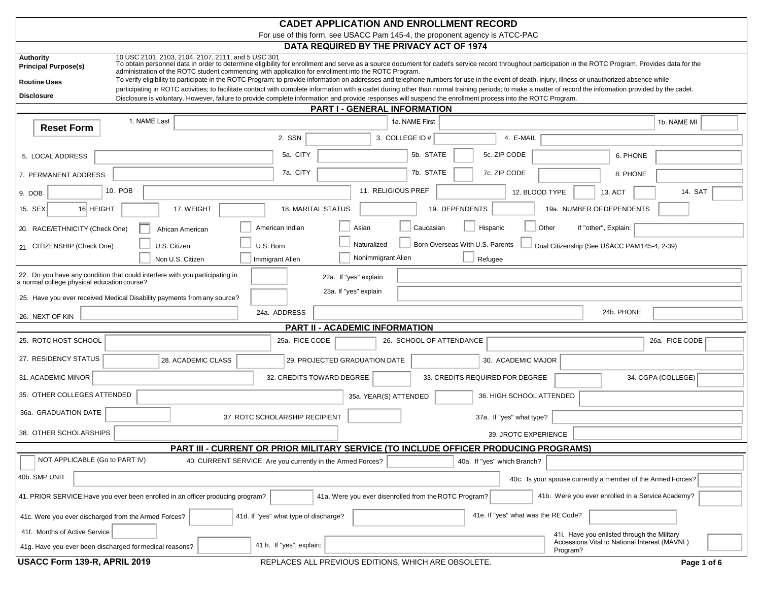| <b>CADET APPLICATION AND ENROLLMENT RECORD</b>                                                                                                                                                                                                                                                                                                                                                                                         |                                                                                |  |
|----------------------------------------------------------------------------------------------------------------------------------------------------------------------------------------------------------------------------------------------------------------------------------------------------------------------------------------------------------------------------------------------------------------------------------------|--------------------------------------------------------------------------------|--|
| For use of this form, see USACC Pam 145-4, the proponent agency is ATCC-PAC                                                                                                                                                                                                                                                                                                                                                            |                                                                                |  |
| DATA REQUIRED BY THE PRIVACY ACT OF 1974<br>10 USC 2101, 2103, 2104, 2107, 2111, and 5 USC 301<br><b>Authority</b><br>To obtain personnel data in order to determine eligibility for enrollment and serve as a source document for cadet's service record throughout participation in the ROTC Program. Provides data for the                                                                                                          |                                                                                |  |
| <b>Principal Purpose(s)</b><br>administration of the ROTC student commencing with application for enrollment into the ROTC Program.                                                                                                                                                                                                                                                                                                    |                                                                                |  |
| To verify eligibility to participate in the ROTC Program; to provide information on addresses and telephone numbers for use in the event of death, injury, illness or unauthorized absence while<br><b>Routine Uses</b><br>participating in ROTC activities; to facilitate contact with complete information with a cadet during other than normal training periods; to make a matter of record the information provided by the cadet. |                                                                                |  |
| <b>Disclosure</b><br>Disclosure is voluntary. However, failure to provide complete information and provide responses will suspend the enrollment process into the ROTC Program.                                                                                                                                                                                                                                                        |                                                                                |  |
| <b>PART I - GENERAL INFORMATION</b>                                                                                                                                                                                                                                                                                                                                                                                                    |                                                                                |  |
| 1. NAME Last<br>1a. NAME First<br><b>Reset Form</b>                                                                                                                                                                                                                                                                                                                                                                                    | 1b. NAME MI                                                                    |  |
| 2. SSN<br>3. COLLEGE ID #                                                                                                                                                                                                                                                                                                                                                                                                              | 4. E-MAIL                                                                      |  |
| 5a. CITY<br>5. LOCAL ADDRESS                                                                                                                                                                                                                                                                                                                                                                                                           | 5c. ZIP CODE<br>5b. STATE<br>6. PHONE                                          |  |
| 7a. CITY<br>7. PERMANENT ADDRESS                                                                                                                                                                                                                                                                                                                                                                                                       | 7b. STATE<br>7c. ZIP CODE<br>8. PHONE                                          |  |
| 11. RELIGIOUS PREF<br>10. POB<br>9. DOB                                                                                                                                                                                                                                                                                                                                                                                                | 12. BLOOD TYPE<br>14. SAT<br>13. ACT                                           |  |
| 16 HEIGHT<br>15. SEX<br>17. WEIGHT<br><b>18. MARITAL STATUS</b>                                                                                                                                                                                                                                                                                                                                                                        | 19. DEPENDENTS<br>19a. NUMBER OF DEPENDENTS                                    |  |
| American Indian<br>Asian<br>20. RACE/ETHNICITY (Check One)<br>African American                                                                                                                                                                                                                                                                                                                                                         | Caucasian<br>Hispanic<br>Other<br>If "other", Explain:                         |  |
| Naturalized<br>U.S. Born<br>U.S. Citizen<br>21. CITIZENSHIP (Check One)                                                                                                                                                                                                                                                                                                                                                                | Born Overseas With U.S. Parents<br>Dual Citizenship (See USACC PAM145-4, 2-39) |  |
| Nonimmigrant Alien<br>Non U.S. Citizen<br>Immigrant Alien                                                                                                                                                                                                                                                                                                                                                                              | Refugee                                                                        |  |
| 22. Do you have any condition that could interfere with you participating in<br>22a. If "yes" explain<br>a normal college physical education course?                                                                                                                                                                                                                                                                                   |                                                                                |  |
| 23a. If "yes" explain<br>25. Have you ever received Medical Disability payments from any source?                                                                                                                                                                                                                                                                                                                                       |                                                                                |  |
| 24a. ADDRESS<br>26. NEXT OF KIN                                                                                                                                                                                                                                                                                                                                                                                                        | 24b. PHONE                                                                     |  |
| <b>PART II - ACADEMIC INFORMATION</b>                                                                                                                                                                                                                                                                                                                                                                                                  |                                                                                |  |
| 25. ROTC HOST SCHOOL<br>25a. FICE CODE                                                                                                                                                                                                                                                                                                                                                                                                 | 26. SCHOOL OF ATTENDANCE<br>26a. FICE CODE                                     |  |
| 27. RESIDENCY STATUS<br>28. ACADEMIC CLASS<br>29. PROJECTED GRADUATION DATE                                                                                                                                                                                                                                                                                                                                                            | 30. ACADEMIC MAJOR                                                             |  |
| 31. ACADEMIC MINOR<br>32. CREDITS TOWARD DEGREE                                                                                                                                                                                                                                                                                                                                                                                        | 33. CREDITS REQUIRED FOR DEGREE<br>34. CGPA (COLLEGE)                          |  |
| 35. OTHER COLLEGES ATTENDED<br>35a. YEAR(S) ATTENDED                                                                                                                                                                                                                                                                                                                                                                                   | 36. HIGH SCHOOL ATTENDED                                                       |  |
| 36a. GRADUATION DATE<br>37. ROTC SCHOLARSHIP RECIPIENT                                                                                                                                                                                                                                                                                                                                                                                 | 37a. If "yes" what type?                                                       |  |
| 38. OTHER SCHOLARSHIPS                                                                                                                                                                                                                                                                                                                                                                                                                 | 39. JROTC EXPERIENCE                                                           |  |
| PART III - CURRENT OR PRIOR MILITARY SERVICE (TO INCLUDE OFFICER PRODUCING PROGRAMS)                                                                                                                                                                                                                                                                                                                                                   |                                                                                |  |
| NOT APPLICABLE (Go to PART IV)<br>40. CURRENT SERVICE: Are you currently in the Armed Forces?                                                                                                                                                                                                                                                                                                                                          | 40a. If "yes" which Branch?                                                    |  |
| 40b. SMP UNIT<br>40c. Is your spouse currently a member of the Armed Forces?                                                                                                                                                                                                                                                                                                                                                           |                                                                                |  |
| 41b. Were you ever enrolled in a Service Academy?<br>41a. Were you ever disenrolled from the ROTC Program?<br>41. PRIOR SERVICE: Have you ever been enrolled in an officer producing program?                                                                                                                                                                                                                                          |                                                                                |  |
| 41d. If "yes" what type of discharge?<br>41c. Were you ever discharged from the Armed Forces?                                                                                                                                                                                                                                                                                                                                          | 41e. If "yes" what was the RE Code?                                            |  |
| 41f. Months of Active Service                                                                                                                                                                                                                                                                                                                                                                                                          | 41. Have you enlisted through the Military                                     |  |
| 41 h. If "yes", explain:<br>41g. Have you ever been discharged for medical reasons?                                                                                                                                                                                                                                                                                                                                                    | Accessions Vital to National Interest (MAVNI)<br>Program?                      |  |
| USACC Form 139-R, APRIL 2019<br>REPLACES ALL PREVIOUS EDITIONS, WHICH ARE OBSOLETE.                                                                                                                                                                                                                                                                                                                                                    | Page 1 of 6                                                                    |  |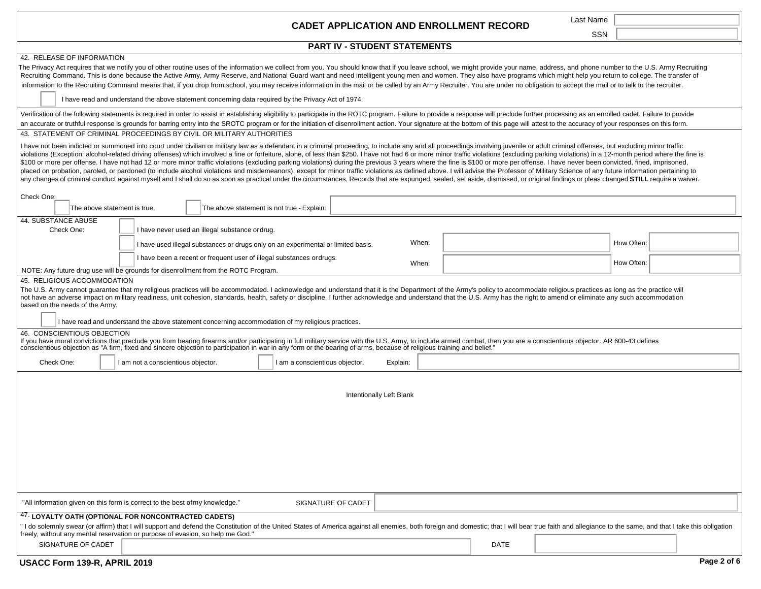# Last Name **CADET APPLICATION AND ENROLLMENT RECORD**

|                                                                                                                                                                                                                                                                                                                                                                                                                                                                                                                                                                                                                                                                                                                                                                                                                                                                                                                                                                                                                                                                                                                                                                        |                                                                                                     | <b>CADET APPLICATION AND ENROLLMENT RECORD</b>                                                                                                                         |                                                                                                                                                                                                                                                                                                                                                                                                                                                                  |            |
|------------------------------------------------------------------------------------------------------------------------------------------------------------------------------------------------------------------------------------------------------------------------------------------------------------------------------------------------------------------------------------------------------------------------------------------------------------------------------------------------------------------------------------------------------------------------------------------------------------------------------------------------------------------------------------------------------------------------------------------------------------------------------------------------------------------------------------------------------------------------------------------------------------------------------------------------------------------------------------------------------------------------------------------------------------------------------------------------------------------------------------------------------------------------|-----------------------------------------------------------------------------------------------------|------------------------------------------------------------------------------------------------------------------------------------------------------------------------|------------------------------------------------------------------------------------------------------------------------------------------------------------------------------------------------------------------------------------------------------------------------------------------------------------------------------------------------------------------------------------------------------------------------------------------------------------------|------------|
|                                                                                                                                                                                                                                                                                                                                                                                                                                                                                                                                                                                                                                                                                                                                                                                                                                                                                                                                                                                                                                                                                                                                                                        |                                                                                                     |                                                                                                                                                                        |                                                                                                                                                                                                                                                                                                                                                                                                                                                                  | <b>SSN</b> |
|                                                                                                                                                                                                                                                                                                                                                                                                                                                                                                                                                                                                                                                                                                                                                                                                                                                                                                                                                                                                                                                                                                                                                                        |                                                                                                     | <b>PART IV - STUDENT STATEMENTS</b>                                                                                                                                    |                                                                                                                                                                                                                                                                                                                                                                                                                                                                  |            |
| 42. RELEASE OF INFORMATION                                                                                                                                                                                                                                                                                                                                                                                                                                                                                                                                                                                                                                                                                                                                                                                                                                                                                                                                                                                                                                                                                                                                             |                                                                                                     |                                                                                                                                                                        |                                                                                                                                                                                                                                                                                                                                                                                                                                                                  |            |
|                                                                                                                                                                                                                                                                                                                                                                                                                                                                                                                                                                                                                                                                                                                                                                                                                                                                                                                                                                                                                                                                                                                                                                        |                                                                                                     |                                                                                                                                                                        | The Privacy Act requires that we notify you of other routine uses of the information we collect from you. You should know that if you leave school, we might provide your name, address, and phone number to the U.S. Army Rec<br>Recruiting Command. This is done because the Active Army, Army Reserve, and National Guard want and need intelligent young men and women. They also have programs which might help you return to college. The transfer of      |            |
|                                                                                                                                                                                                                                                                                                                                                                                                                                                                                                                                                                                                                                                                                                                                                                                                                                                                                                                                                                                                                                                                                                                                                                        |                                                                                                     |                                                                                                                                                                        | information to the Recruiting Command means that, if you drop from school, you may receive information in the mail or be called by an Army Recruiter. You are under no obligation to accept the mail or to talk to the recruit                                                                                                                                                                                                                                   |            |
|                                                                                                                                                                                                                                                                                                                                                                                                                                                                                                                                                                                                                                                                                                                                                                                                                                                                                                                                                                                                                                                                                                                                                                        | I have read and understand the above statement concerning data required by the Privacy Act of 1974. |                                                                                                                                                                        |                                                                                                                                                                                                                                                                                                                                                                                                                                                                  |            |
|                                                                                                                                                                                                                                                                                                                                                                                                                                                                                                                                                                                                                                                                                                                                                                                                                                                                                                                                                                                                                                                                                                                                                                        |                                                                                                     |                                                                                                                                                                        | Verification of the following statements is required in order to assist in establishing eligibility to participate in the ROTC program. Failure to provide a response will preclude further processing as an enrolled cadet. F<br>an accurate or truthful response is grounds for barring entry into the SROTC program or for the initiation of disenrollment action. Your signature at the bottom of this page will attest to the accuracy of your responses on |            |
|                                                                                                                                                                                                                                                                                                                                                                                                                                                                                                                                                                                                                                                                                                                                                                                                                                                                                                                                                                                                                                                                                                                                                                        | 43. STATEMENT OF CRIMINAL PROCEEDINGS BY CIVIL OR MILITARY AUTHORITIES                              |                                                                                                                                                                        |                                                                                                                                                                                                                                                                                                                                                                                                                                                                  |            |
| I have not been indicted or summoned into court under civilian or military law as a defendant in a criminal proceeding, to include any and all proceedings involving juvenile or adult criminal offenses, but excluding minor<br>violations (Exception: alcohol-related driving offenses) which involved a fine or forfeiture, alone, of less than \$250. I have not had 6 or more minor traffic violations (excluding parking violations) in a 12-month period<br>\$100 or more per offense. I have not had 12 or more minor traffic violations (excluding parking violations) during the previous 3 years where the fine is \$100 or more per offense. I have never been convicted, fined, impris<br>placed on probation, paroled, or pardoned (to include alcohol violations and misdemeanors), except for minor traffic violations as defined above. I will advise the Professor of Military Science of any future information pe<br>any changes of criminal conduct against myself and I shall do so as soon as practical under the circumstances. Records that are expunged, sealed, set aside, dismissed, or original findings or pleas changed STILL require a |                                                                                                     |                                                                                                                                                                        |                                                                                                                                                                                                                                                                                                                                                                                                                                                                  |            |
| Check One:                                                                                                                                                                                                                                                                                                                                                                                                                                                                                                                                                                                                                                                                                                                                                                                                                                                                                                                                                                                                                                                                                                                                                             |                                                                                                     |                                                                                                                                                                        |                                                                                                                                                                                                                                                                                                                                                                                                                                                                  |            |
|                                                                                                                                                                                                                                                                                                                                                                                                                                                                                                                                                                                                                                                                                                                                                                                                                                                                                                                                                                                                                                                                                                                                                                        | The above statement is true.                                                                        | The above statement is not true - Explain:                                                                                                                             |                                                                                                                                                                                                                                                                                                                                                                                                                                                                  |            |
| 44. SUBSTANCE ABUSE                                                                                                                                                                                                                                                                                                                                                                                                                                                                                                                                                                                                                                                                                                                                                                                                                                                                                                                                                                                                                                                                                                                                                    |                                                                                                     |                                                                                                                                                                        |                                                                                                                                                                                                                                                                                                                                                                                                                                                                  |            |
| Check One:                                                                                                                                                                                                                                                                                                                                                                                                                                                                                                                                                                                                                                                                                                                                                                                                                                                                                                                                                                                                                                                                                                                                                             | I have never used an illegal substance ordrug.                                                      |                                                                                                                                                                        |                                                                                                                                                                                                                                                                                                                                                                                                                                                                  |            |
|                                                                                                                                                                                                                                                                                                                                                                                                                                                                                                                                                                                                                                                                                                                                                                                                                                                                                                                                                                                                                                                                                                                                                                        | I have used illegal substances or drugs only on an experimental or limited basis.                   | When:                                                                                                                                                                  |                                                                                                                                                                                                                                                                                                                                                                                                                                                                  | How Often: |
|                                                                                                                                                                                                                                                                                                                                                                                                                                                                                                                                                                                                                                                                                                                                                                                                                                                                                                                                                                                                                                                                                                                                                                        | I have been a recent or frequent user of illegal substances ordrugs.                                |                                                                                                                                                                        | When:                                                                                                                                                                                                                                                                                                                                                                                                                                                            | How Often: |
|                                                                                                                                                                                                                                                                                                                                                                                                                                                                                                                                                                                                                                                                                                                                                                                                                                                                                                                                                                                                                                                                                                                                                                        | NOTE: Any future drug use will be grounds for disenrollment from the ROTC Program.                  |                                                                                                                                                                        |                                                                                                                                                                                                                                                                                                                                                                                                                                                                  |            |
| 45. RELIGIOUS ACCOMMODATION                                                                                                                                                                                                                                                                                                                                                                                                                                                                                                                                                                                                                                                                                                                                                                                                                                                                                                                                                                                                                                                                                                                                            |                                                                                                     |                                                                                                                                                                        |                                                                                                                                                                                                                                                                                                                                                                                                                                                                  |            |
| based on the needs of the Army.                                                                                                                                                                                                                                                                                                                                                                                                                                                                                                                                                                                                                                                                                                                                                                                                                                                                                                                                                                                                                                                                                                                                        | I have read and understand the above statement concerning accommodation of my religious practices.  |                                                                                                                                                                        | The U.S. Army cannot guarantee that my religious practices will be accommodated. I acknowledge and understand that it is the Department of the Army's policy to accommodate religious practices as long as the practice will<br>not have an adverse impact on military readiness, unit cohesion, standards, health, safety or discipline. I further acknowledge and understand that the U.S. Army has the right to amend or eliminate any such accommodation     |            |
| 46. CONSCIENTIOUS OBJECTION                                                                                                                                                                                                                                                                                                                                                                                                                                                                                                                                                                                                                                                                                                                                                                                                                                                                                                                                                                                                                                                                                                                                            |                                                                                                     |                                                                                                                                                                        |                                                                                                                                                                                                                                                                                                                                                                                                                                                                  |            |
|                                                                                                                                                                                                                                                                                                                                                                                                                                                                                                                                                                                                                                                                                                                                                                                                                                                                                                                                                                                                                                                                                                                                                                        |                                                                                                     | conscientious objection as "A firm, fixed and sincere objection to participation in war in any form or the bearing of arms, because of religious training and belief." | If you have moral convictions that preclude you from bearing firearms and/or participating in full military service with the U.S. Army, to include armed combat, then you are a conscientious objector. AR 600-43 defines                                                                                                                                                                                                                                        |            |
| Check One:                                                                                                                                                                                                                                                                                                                                                                                                                                                                                                                                                                                                                                                                                                                                                                                                                                                                                                                                                                                                                                                                                                                                                             | I am not a conscientious objector.                                                                  | am a conscientious objector.<br>Explain:                                                                                                                               |                                                                                                                                                                                                                                                                                                                                                                                                                                                                  |            |
|                                                                                                                                                                                                                                                                                                                                                                                                                                                                                                                                                                                                                                                                                                                                                                                                                                                                                                                                                                                                                                                                                                                                                                        |                                                                                                     | Intentionally Left Blank                                                                                                                                               |                                                                                                                                                                                                                                                                                                                                                                                                                                                                  |            |
|                                                                                                                                                                                                                                                                                                                                                                                                                                                                                                                                                                                                                                                                                                                                                                                                                                                                                                                                                                                                                                                                                                                                                                        |                                                                                                     |                                                                                                                                                                        |                                                                                                                                                                                                                                                                                                                                                                                                                                                                  |            |
|                                                                                                                                                                                                                                                                                                                                                                                                                                                                                                                                                                                                                                                                                                                                                                                                                                                                                                                                                                                                                                                                                                                                                                        |                                                                                                     |                                                                                                                                                                        |                                                                                                                                                                                                                                                                                                                                                                                                                                                                  |            |
|                                                                                                                                                                                                                                                                                                                                                                                                                                                                                                                                                                                                                                                                                                                                                                                                                                                                                                                                                                                                                                                                                                                                                                        |                                                                                                     |                                                                                                                                                                        |                                                                                                                                                                                                                                                                                                                                                                                                                                                                  |            |
|                                                                                                                                                                                                                                                                                                                                                                                                                                                                                                                                                                                                                                                                                                                                                                                                                                                                                                                                                                                                                                                                                                                                                                        |                                                                                                     |                                                                                                                                                                        |                                                                                                                                                                                                                                                                                                                                                                                                                                                                  |            |
|                                                                                                                                                                                                                                                                                                                                                                                                                                                                                                                                                                                                                                                                                                                                                                                                                                                                                                                                                                                                                                                                                                                                                                        |                                                                                                     |                                                                                                                                                                        |                                                                                                                                                                                                                                                                                                                                                                                                                                                                  |            |
|                                                                                                                                                                                                                                                                                                                                                                                                                                                                                                                                                                                                                                                                                                                                                                                                                                                                                                                                                                                                                                                                                                                                                                        |                                                                                                     |                                                                                                                                                                        |                                                                                                                                                                                                                                                                                                                                                                                                                                                                  |            |
|                                                                                                                                                                                                                                                                                                                                                                                                                                                                                                                                                                                                                                                                                                                                                                                                                                                                                                                                                                                                                                                                                                                                                                        | "All information given on this form is correct to the best of my knowledge."                        | SIGNATURE OF CADET                                                                                                                                                     |                                                                                                                                                                                                                                                                                                                                                                                                                                                                  |            |
|                                                                                                                                                                                                                                                                                                                                                                                                                                                                                                                                                                                                                                                                                                                                                                                                                                                                                                                                                                                                                                                                                                                                                                        |                                                                                                     |                                                                                                                                                                        |                                                                                                                                                                                                                                                                                                                                                                                                                                                                  |            |

## 47. **LOYALTY OATH (OPTIONAL FOR NONCONTRACTED CADETS)**

| "I do solemnly swear (or affirm) that I will support and defend the Constitution of the United States of America against all enemies, both foreign and domestic; that I will bear true faith and allegiance to the same, and t |  |
|--------------------------------------------------------------------------------------------------------------------------------------------------------------------------------------------------------------------------------|--|
| freely, without any mental reservation or purpose of evasion, so help me God."                                                                                                                                                 |  |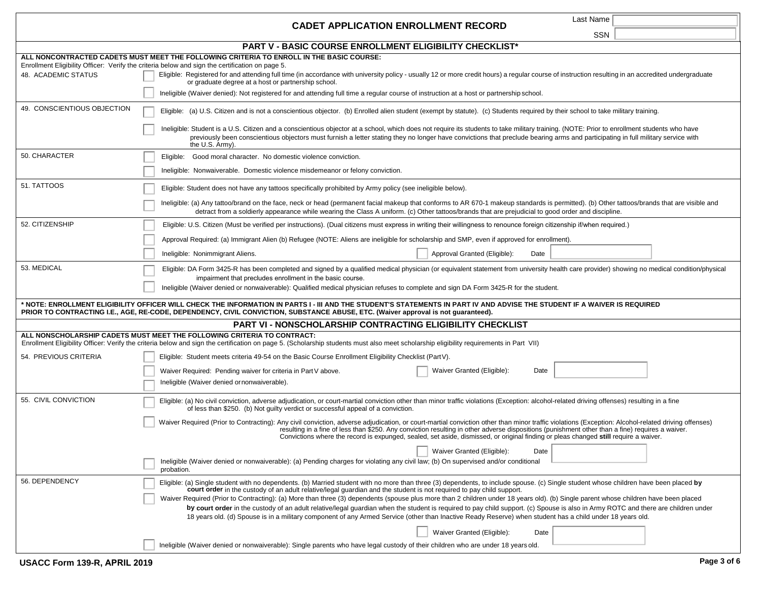|                             | Last Name<br><b>CADET APPLICATION ENROLLMENT RECORD</b>                                                                                                                                                                                                                                                                                                                                                                                                                                              |
|-----------------------------|------------------------------------------------------------------------------------------------------------------------------------------------------------------------------------------------------------------------------------------------------------------------------------------------------------------------------------------------------------------------------------------------------------------------------------------------------------------------------------------------------|
|                             | SSN                                                                                                                                                                                                                                                                                                                                                                                                                                                                                                  |
|                             | PART V - BASIC COURSE ENROLLMENT ELIGIBILITY CHECKLIST*                                                                                                                                                                                                                                                                                                                                                                                                                                              |
|                             | ALL NONCONTRACTED CADETS MUST MEET THE FOLLOWING CRITERIA TO ENROLL IN THE BASIC COURSE:                                                                                                                                                                                                                                                                                                                                                                                                             |
| 48. ACADEMIC STATUS         | Enrollment Eligibility Officer: Verify the criteria below and sign the certification on page 5.<br>Eligible: Registered for and attending full time (in accordance with university policy - usually 12 or more credit hours) a regular course of instruction resulting in an accredited undergraduate<br>or graduate degree at a host or partnership school.                                                                                                                                         |
|                             | Ineligible (Waiver denied): Not registered for and attending full time a regular course of instruction at a host or partnership school.                                                                                                                                                                                                                                                                                                                                                              |
| 49. CONSCIENTIOUS OBJECTION | Eligible: (a) U.S. Citizen and is not a conscientious objector. (b) Enrolled alien student (exempt by statute). (c) Students required by their school to take military training.                                                                                                                                                                                                                                                                                                                     |
|                             | Ineligible: Student is a U.S. Citizen and a conscientious objector at a school, which does not require its students to take military training. (NOTE: Prior to enrollment students who have<br>previously been conscientious objectors must furnish a letter stating they no longer have convictions that preclude bearing arms and participating in full military service with<br>the U.S. Army).                                                                                                   |
| 50. CHARACTER               | Eligible: Good moral character. No domestic violence conviction.                                                                                                                                                                                                                                                                                                                                                                                                                                     |
|                             | Ineligible: Nonwaiverable. Domestic violence misdemeanor or felony conviction.                                                                                                                                                                                                                                                                                                                                                                                                                       |
| 51. TATTOOS                 | Eligible: Student does not have any tattoos specifically prohibited by Army policy (see ineligible below).                                                                                                                                                                                                                                                                                                                                                                                           |
|                             | Ineligible: (a) Any tattoo/brand on the face, neck or head (permanent facial makeup that conforms to AR 670-1 makeup standards is permitted). (b) Other tattoos/brands that are visible and<br>detract from a soldierly appearance while wearing the Class A uniform. (c) Other tattoos/brands that are prejudicial to good order and discipline.                                                                                                                                                    |
| 52. CITIZENSHIP             | Eligible: U.S. Citizen (Must be verified per instructions). (Dual citizens must express in writing their willingness to renounce foreign citizenship if/when required.)                                                                                                                                                                                                                                                                                                                              |
|                             | Approval Required: (a) Immigrant Alien (b) Refugee (NOTE: Aliens are ineligible for scholarship and SMP, even if approved for enrollment).                                                                                                                                                                                                                                                                                                                                                           |
|                             | Approval Granted (Eligible):<br>Ineligible: Nonimmigrant Aliens.<br>Date                                                                                                                                                                                                                                                                                                                                                                                                                             |
| 53. MEDICAL                 | Eligible: DA Form 3425-R has been completed and signed by a qualified medical physician (or equivalent statement from university health care provider) showing no medical condition/physical<br>impairment that precludes enrollment in the basic course.<br>Ineligible (Waiver denied or nonwaiverable): Qualified medical physician refuses to complete and sign DA Form 3425-R for the student.                                                                                                   |
|                             | * NOTE: ENROLLMENT ELIGIBILITY OFFICER WILL CHECK THE INFORMATION IN PARTS I - III AND THE STUDENT'S STATEMENTS IN PART IV AND ADVISE THE STUDENT IF A WAIVER IS REQUIRED<br>PRIOR TO CONTRACTING I.E., AGE, RE-CODE, DEPENDENCY, CIVIL CONVICTION, SUBSTANCE ABUSE, ETC. (Waiver approval is not guaranteed).                                                                                                                                                                                       |
|                             | <b>PART VI - NONSCHOLARSHIP CONTRACTING ELIGIBILITY CHECKLIST</b>                                                                                                                                                                                                                                                                                                                                                                                                                                    |
|                             | ALL NONSCHOLARSHIP CADETS MUST MEET THE FOLLOWING CRITERIA TO CONTRACT:<br>Enrollment Eligibility Officer: Verify the criteria below and sign the certification on page 5. (Scholarship students must also meet scholarship eligibility requirements in Part VII)                                                                                                                                                                                                                                    |
| 54. PREVIOUS CRITERIA       | Eligible: Student meets criteria 49-54 on the Basic Course Enrollment Eligibility Checklist (PartV).                                                                                                                                                                                                                                                                                                                                                                                                 |
|                             | Waiver Granted (Eligible):<br>Date<br>Waiver Required: Pending waiver for criteria in Part V above.                                                                                                                                                                                                                                                                                                                                                                                                  |
|                             | Ineligible (Waiver denied or nonwaiverable).                                                                                                                                                                                                                                                                                                                                                                                                                                                         |
| 55. CIVIL CONVICTION        | Eligible: (a) No civil conviction, adverse adjudication, or court-martial conviction other than minor traffic violations (Exception: alcohol-related driving offenses) resulting in a fine<br>of less than \$250. (b) Not guilty verdict or successful appeal of a conviction.                                                                                                                                                                                                                       |
|                             | Waiver Required (Prior to Contracting): Any civil conviction, adverse adjudication, or court-martial conviction other than minor traffic violations (Exception: Alcohol-related driving offenses)<br>resulting in a fine of less than \$250. Any conviction resulting in other adverse dispositions (punishment other than a fine) requires a waiver.<br>Convictions where the record is expunged, sealed, set aside, dismissed, or original finding or pleas changed still require a waiver.        |
|                             | Waiver Granted (Eligible):<br>Date                                                                                                                                                                                                                                                                                                                                                                                                                                                                   |
|                             | Ineligible (Waiver denied or nonwaiverable): (a) Pending charges for violating any civil law; (b) On supervised and/or conditional<br>probation.                                                                                                                                                                                                                                                                                                                                                     |
| 56. DEPENDENCY              | Eligible: (a) Single student with no dependents. (b) Married student with no more than three (3) dependents, to include spouse. (c) Single student whose children have been placed by<br>court order in the custody of an adult relative/legal guardian and the student is not required to pay child support.<br>Waiver Required (Prior to Contracting): (a) More than three (3) dependents (spouse plus more than 2 children under 18 years old). (b) Single parent whose children have been placed |
|                             | by court order in the custody of an adult relative/legal guardian when the student is required to pay child support. (c) Spouse is also in Army ROTC and there are children under<br>18 years old. (d) Spouse is in a military component of any Armed Service (other than Inactive Ready Reserve) when student has a child under 18 years old.                                                                                                                                                       |
|                             | Waiver Granted (Eligible):<br>Date                                                                                                                                                                                                                                                                                                                                                                                                                                                                   |
|                             | Ineligible (Waiver denied or nonwaiverable): Single parents who have legal custody of their children who are under 18 years old.                                                                                                                                                                                                                                                                                                                                                                     |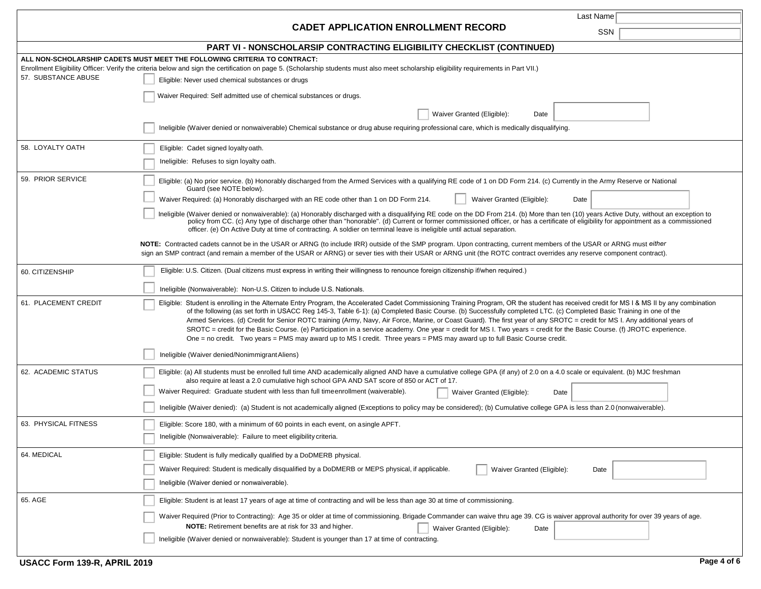|                      | Last Name                                                                                                                                                                                                                                                                                                                                                                                                                                                                                                                                                                                                                                                                                                                                                                                                                                                   |
|----------------------|-------------------------------------------------------------------------------------------------------------------------------------------------------------------------------------------------------------------------------------------------------------------------------------------------------------------------------------------------------------------------------------------------------------------------------------------------------------------------------------------------------------------------------------------------------------------------------------------------------------------------------------------------------------------------------------------------------------------------------------------------------------------------------------------------------------------------------------------------------------|
|                      | <b>CADET APPLICATION ENROLLMENT RECORD</b><br>SSN                                                                                                                                                                                                                                                                                                                                                                                                                                                                                                                                                                                                                                                                                                                                                                                                           |
|                      | PART VI - NONSCHOLARSIP CONTRACTING ELIGIBILITY CHECKLIST (CONTINUED)                                                                                                                                                                                                                                                                                                                                                                                                                                                                                                                                                                                                                                                                                                                                                                                       |
| 57. SUBSTANCE ABUSE  | ALL NON-SCHOLARSHIP CADETS MUST MEET THE FOLLOWING CRITERIA TO CONTRACT:<br>Enrollment Eligibility Officer: Verify the criteria below and sign the certification on page 5. (Scholarship students must also meet scholarship eligibility requirements in Part VII.)                                                                                                                                                                                                                                                                                                                                                                                                                                                                                                                                                                                         |
|                      | Eligible: Never used chemical substances or drugs                                                                                                                                                                                                                                                                                                                                                                                                                                                                                                                                                                                                                                                                                                                                                                                                           |
|                      | Waiver Required: Self admitted use of chemical substances or drugs.                                                                                                                                                                                                                                                                                                                                                                                                                                                                                                                                                                                                                                                                                                                                                                                         |
|                      | Waiver Granted (Eligible):<br>Date                                                                                                                                                                                                                                                                                                                                                                                                                                                                                                                                                                                                                                                                                                                                                                                                                          |
|                      | Ineligible (Waiver denied or nonwaiverable) Chemical substance or drug abuse requiring professional care, which is medically disqualifying.                                                                                                                                                                                                                                                                                                                                                                                                                                                                                                                                                                                                                                                                                                                 |
| 58. LOYALTY OATH     | Eligible: Cadet signed loyalty oath.                                                                                                                                                                                                                                                                                                                                                                                                                                                                                                                                                                                                                                                                                                                                                                                                                        |
|                      | Ineligible: Refuses to sign loyalty oath.                                                                                                                                                                                                                                                                                                                                                                                                                                                                                                                                                                                                                                                                                                                                                                                                                   |
| 59. PRIOR SERVICE    | Eligible: (a) No prior service. (b) Honorably discharged from the Armed Services with a qualifying RE code of 1 on DD Form 214. (c) Currently in the Army Reserve or National<br>Guard (see NOTE below).                                                                                                                                                                                                                                                                                                                                                                                                                                                                                                                                                                                                                                                    |
|                      | Waiver Required: (a) Honorably discharged with an RE code other than 1 on DD Form 214.<br>Waiver Granted (Eligible):<br>Date                                                                                                                                                                                                                                                                                                                                                                                                                                                                                                                                                                                                                                                                                                                                |
|                      | Ineligible (Waiver denied or nonwaiverable): (a) Honorably discharged with a disqualifying RE code on the DD From 214. (b) More than ten (10) years Active Duty, without an exception to<br>policy from CC. (c) Any type of discharge other than "honorable". (d) Current or former commissioned officer, or has a certificate of eligibility for appointment as a commissioned<br>officer. (e) On Active Duty at time of contracting. A soldier on terminal leave is ineligible until actual separation.                                                                                                                                                                                                                                                                                                                                                   |
|                      | NOTE: Contracted cadets cannot be in the USAR or ARNG (to include IRR) outside of the SMP program. Upon contracting, current members of the USAR or ARNG must either<br>sign an SMP contract (and remain a member of the USAR or ARNG) or sever ties with their USAR or ARNG unit (the ROTC contract overrides any reserve component contract).                                                                                                                                                                                                                                                                                                                                                                                                                                                                                                             |
| 60. CITIZENSHIP      | Eligible: U.S. Citizen. (Dual citizens must express in writing their willingness to renounce foreign citizenship if/when required.)                                                                                                                                                                                                                                                                                                                                                                                                                                                                                                                                                                                                                                                                                                                         |
|                      | Ineligible (Nonwaiverable): Non-U.S. Citizen to include U.S. Nationals.                                                                                                                                                                                                                                                                                                                                                                                                                                                                                                                                                                                                                                                                                                                                                                                     |
| 61. PLACEMENT CREDIT | Eligible: Student is enrolling in the Alternate Entry Program, the Accelerated Cadet Commissioning Training Program, OR the student has received credit for MS I & MS II by any combination<br>of the following (as set forth in USACC Reg 145-3, Table 6-1): (a) Completed Basic Course. (b) Successfully completed LTC. (c) Completed Basic Training in one of the<br>Armed Services. (d) Credit for Senior ROTC training (Army, Navy, Air Force, Marine, or Coast Guard). The first year of any SROTC = credit for MS I. Any additional years of<br>SROTC = credit for the Basic Course. (e) Participation in a service academy. One year = credit for MS I. Two years = credit for the Basic Course. (f) JROTC experience.<br>One = no credit. Two years = PMS may award up to MS I credit. Three years = PMS may award up to full Basic Course credit. |
|                      | Ineligible (Waiver denied/Nonimmigrant Aliens)                                                                                                                                                                                                                                                                                                                                                                                                                                                                                                                                                                                                                                                                                                                                                                                                              |
| 62. ACADEMIC STATUS  | Eligible: (a) All students must be enrolled full time AND academically aligned AND have a cumulative college GPA (if any) of 2.0 on a 4.0 scale or equivalent. (b) MJC freshman<br>also require at least a 2.0 cumulative high school GPA AND SAT score of 850 or ACT of 17.                                                                                                                                                                                                                                                                                                                                                                                                                                                                                                                                                                                |
|                      | Waiver Required: Graduate student with less than full time enrollment (waiverable).<br>Waiver Granted (Eligible):<br>Date                                                                                                                                                                                                                                                                                                                                                                                                                                                                                                                                                                                                                                                                                                                                   |
|                      | Ineligible (Waiver denied): (a) Student is not academically aligned (Exceptions to policy may be considered); (b) Cumulative college GPA is less than 2.0 (nonwaiverable).                                                                                                                                                                                                                                                                                                                                                                                                                                                                                                                                                                                                                                                                                  |
| 63. PHYSICAL FITNESS | Eligible: Score 180, with a minimum of 60 points in each event, on asingle APFT.<br>Ineligible (Nonwaiverable): Failure to meet eligibility criteria.                                                                                                                                                                                                                                                                                                                                                                                                                                                                                                                                                                                                                                                                                                       |
| 64. MEDICAL          | Eligible: Student is fully medically qualified by a DoDMERB physical.                                                                                                                                                                                                                                                                                                                                                                                                                                                                                                                                                                                                                                                                                                                                                                                       |
|                      | Waiver Required: Student is medically disqualified by a DoDMERB or MEPS physical, if applicable.<br>Waiver Granted (Eligible):<br>Date                                                                                                                                                                                                                                                                                                                                                                                                                                                                                                                                                                                                                                                                                                                      |
|                      | Ineligible (Waiver denied or nonwaiverable).                                                                                                                                                                                                                                                                                                                                                                                                                                                                                                                                                                                                                                                                                                                                                                                                                |
| 65. AGE              | Eligible: Student is at least 17 years of age at time of contracting and will be less than age 30 at time of commissioning.                                                                                                                                                                                                                                                                                                                                                                                                                                                                                                                                                                                                                                                                                                                                 |
|                      | Waiver Required (Prior to Contracting): Age 35 or older at time of commissioning. Brigade Commander can waive thru age 39. CG is waiver approval authority for over 39 years of age.<br><b>NOTE:</b> Retirement benefits are at risk for 33 and higher.<br>Waiver Granted (Eligible):<br>Date                                                                                                                                                                                                                                                                                                                                                                                                                                                                                                                                                               |
|                      | Ineligible (Waiver denied or nonwaiverable): Student is younger than 17 at time of contracting.                                                                                                                                                                                                                                                                                                                                                                                                                                                                                                                                                                                                                                                                                                                                                             |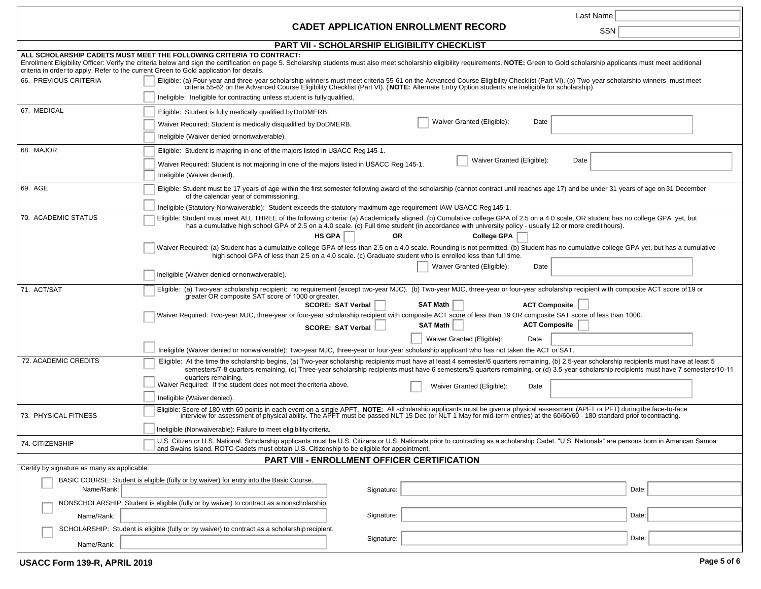|                                                                                                                                             | Last Name                                                                                                                                                                                                                                                                                                                                                                                                                                                                                                             |  |
|---------------------------------------------------------------------------------------------------------------------------------------------|-----------------------------------------------------------------------------------------------------------------------------------------------------------------------------------------------------------------------------------------------------------------------------------------------------------------------------------------------------------------------------------------------------------------------------------------------------------------------------------------------------------------------|--|
|                                                                                                                                             | <b>CADET APPLICATION ENROLLMENT RECORD</b><br>SSN                                                                                                                                                                                                                                                                                                                                                                                                                                                                     |  |
| PART VII - SCHOLARSHIP ELIGIBILITY CHECKLIST                                                                                                |                                                                                                                                                                                                                                                                                                                                                                                                                                                                                                                       |  |
|                                                                                                                                             | ALL SCHOLARSHIP CADETS MUST MEET THE FOLLOWING CRITERIA TO CONTRACT:<br>Enrollment Eligibility Officer: Verify the criteria below and sign the certification on page 5. Scholarship students must also meet scholarship eligibility requirements. NOTE: Green to Gold scholarship applicants must meet<br>criteria in order to apply. Refer to the current Green to Gold application for details.                                                                                                                     |  |
| 66. PREVIOUS CRITERIA                                                                                                                       | Eligible: (a) Four-year and three-year scholarship winners must meet criteria 55-61 on the Advanced Course Eligibility Checklist (Part VI). (b) Two-year scholarship winners must meet<br>criteria 55-62 on the Advanced Course Eligibility Checklist (Part VI). (NOTE: Alternate Entry Option students are ineligible for scholarship).<br>Ineligible: Ineligible for contracting unless student is fully qualified.                                                                                                 |  |
| 67. MEDICAL                                                                                                                                 | Eligible: Student is fully medically qualified by DoDMERB.                                                                                                                                                                                                                                                                                                                                                                                                                                                            |  |
|                                                                                                                                             | Waiver Granted (Eligible):<br>Date<br>Waiver Required: Student is medically disqualified by DoDMERB.<br>Ineligible (Waiver denied or nonwaiverable).                                                                                                                                                                                                                                                                                                                                                                  |  |
| 68. MAJOR                                                                                                                                   | Eligible: Student is majoring in one of the majors listed in USACC Reg 145-1.<br>Waiver Granted (Eligible):<br>Date<br>Waiver Required: Student is not majoring in one of the majors listed in USACC Reg 145-1.<br>Ineligible (Waiver denied).                                                                                                                                                                                                                                                                        |  |
| 69. AGE                                                                                                                                     | Eligible: Student must be 17 years of age within the first semester following award of the scholarship (cannot contract until reaches age 17) and be under 31 years of age on 31 December<br>of the calendar year of commissioning.                                                                                                                                                                                                                                                                                   |  |
| 70. ACADEMIC STATUS                                                                                                                         | Ineligible (Statutory-Nonwaiverable): Student exceeds the statutory maximum age requirement IAW USACC Reg145-1.<br>Eligible: Student must meet ALL THREE of the following criteria: (a) Academically aligned. (b) Cumulative college GPA of 2.5 on a 4.0 scale, OR student has no college GPA yet, but<br>has a cumulative high school GPA of 2.5 on a 4.0 scale. (c) Full time student (in accordance with university policy - usually 12 or more credit hours).<br><b>HS GPA</b><br><b>OR</b><br><b>College GPA</b> |  |
|                                                                                                                                             | Waiver Required: (a) Student has a cumulative college GPA of less than 2.5 on a 4.0 scale. Rounding is not permitted. (b) Student has no cumulative college GPA yet, but has a cumulative<br>high school GPA of less than 2.5 on a 4.0 scale. (c) Graduate student who is enrolled less than full time.                                                                                                                                                                                                               |  |
|                                                                                                                                             | Waiver Granted (Eligible):<br>Date<br>Ineligible (Waiver denied or nonwaiverable).                                                                                                                                                                                                                                                                                                                                                                                                                                    |  |
| 71. ACT/SAT                                                                                                                                 | Eligible: (a) Two-year scholarship recipient: no requirement (except two-year MJC). (b) Two-year MJC, three-year or four-year scholarship recipient with composite ACT score of 19 or<br>greater OR composite SAT score of 1000 or greater.<br>SAT Math<br>ACT Composite<br>SCORE: SAT Verbal                                                                                                                                                                                                                         |  |
|                                                                                                                                             | Waiver Required: Two-year MJC, three-year or four-year scholarship recipient with composite ACT score of less than 19 OR composite SAT score of less than 1000.<br><b>SAT Math</b><br><b>ACT Composite</b><br><b>SCORE: SAT Verbal</b>                                                                                                                                                                                                                                                                                |  |
|                                                                                                                                             | Waiver Granted (Eligible):<br>Date<br>Ineligible (Waiver denied or nonwaiverable): Two-year MJC, three-year or four-year scholarship applicant who has not taken the ACT or SAT.                                                                                                                                                                                                                                                                                                                                      |  |
| 72. ACADEMIC CREDITS                                                                                                                        | Eligible: At the time the scholarship begins, (a) Two-year scholarship recipients must have at least 4 semester/6 quarters remaining, (b) 2.5-year scholarship recipients must have at least 5<br>semesters/7-8 quarters remaining, (c) Three-year scholarship recipients must have 6 semesters/9 quarters remaining, or (d) 3.5-year scholarship recipients must have 7 semesters/10-11<br>quarters remaining.                                                                                                       |  |
|                                                                                                                                             | Waiver Required: If the student does not meet the criteria above.<br>Waiver Granted (Eligible):<br>Date<br>Ineligible (Waiver denied).                                                                                                                                                                                                                                                                                                                                                                                |  |
| 73. PHYSICAL FITNESS                                                                                                                        | Eligible: Score of 180 with 60 points in each event on a single APFT. NOTE: All scholarship applicants must be given a physical assessment (APFT or PFT) during the face-to-face<br>interview for assessment of physical ability. The APFT must be passed NLT 15 Dec (or NLT 1 May for mid-term entries) at the 60/60/60 - 180 standard prior to contracting.                                                                                                                                                         |  |
| 74. CITIZENSHIP                                                                                                                             | Ineligible (Nonwaiverable): Failure to meet eligibility criteria.<br>U.S. Citizen or U.S. National. Scholarship applicants must be U.S. Citizens or U.S. Nationals prior to contracting as a scholarship Cadet. "U.S. Nationals" are persons born in American Samoa                                                                                                                                                                                                                                                   |  |
| and Swains Island. ROTC Cadets must obtain U.S. Citizenship to be eligible for appointment,<br>PART VIII - ENROLLMENT OFFICER CERTIFICATION |                                                                                                                                                                                                                                                                                                                                                                                                                                                                                                                       |  |
| Certify by signature as many as applicable:                                                                                                 |                                                                                                                                                                                                                                                                                                                                                                                                                                                                                                                       |  |
| Name/Rank:                                                                                                                                  | BASIC COURSE: Student is eligible (fully or by waiver) for entry into the Basic Course.<br>Date:<br>Signature:                                                                                                                                                                                                                                                                                                                                                                                                        |  |
|                                                                                                                                             | NONSCHOLARSHIP: Student is eligible (fully or by waiver) to contract as a nonscholarship.                                                                                                                                                                                                                                                                                                                                                                                                                             |  |
| Name/Rank:                                                                                                                                  | Signature:<br>Date:                                                                                                                                                                                                                                                                                                                                                                                                                                                                                                   |  |
|                                                                                                                                             | SCHOLARSHIP: Student is eligible (fully or by waiver) to contract as a scholarship recipient.<br>Date:<br>Signature:                                                                                                                                                                                                                                                                                                                                                                                                  |  |
| Name/Rank:                                                                                                                                  |                                                                                                                                                                                                                                                                                                                                                                                                                                                                                                                       |  |